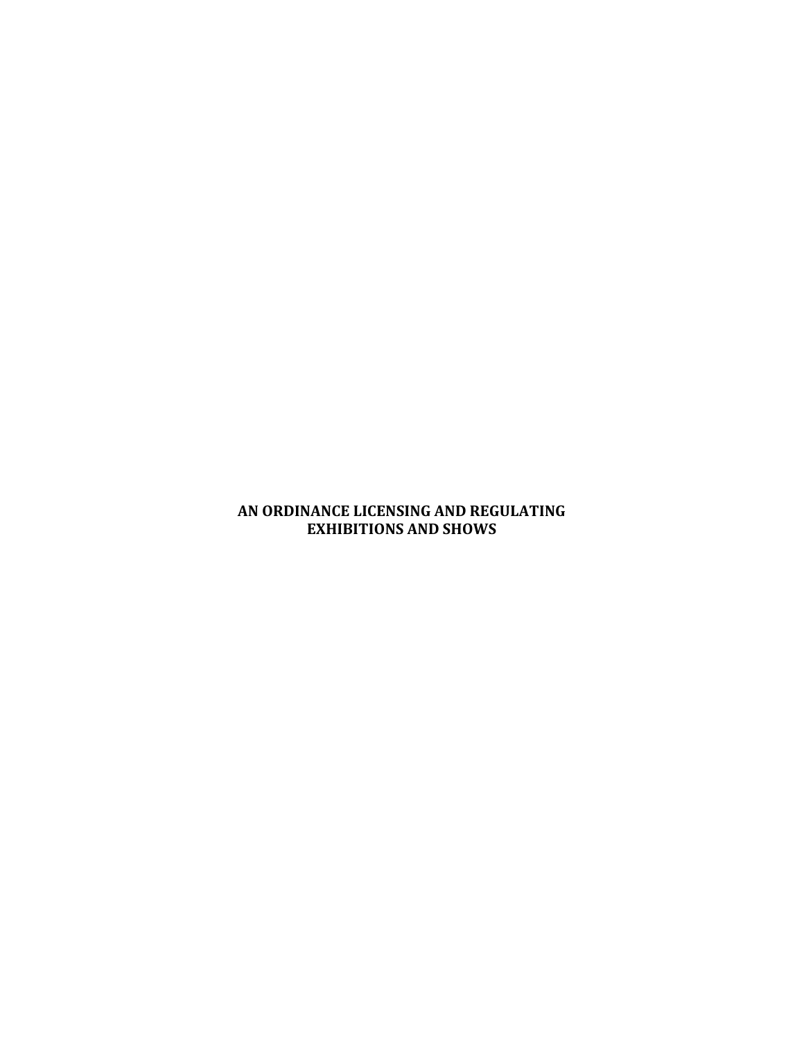## **AN ORDINANCE LICENSING AND REGULATING EXHIBITIONS AND SHOWS**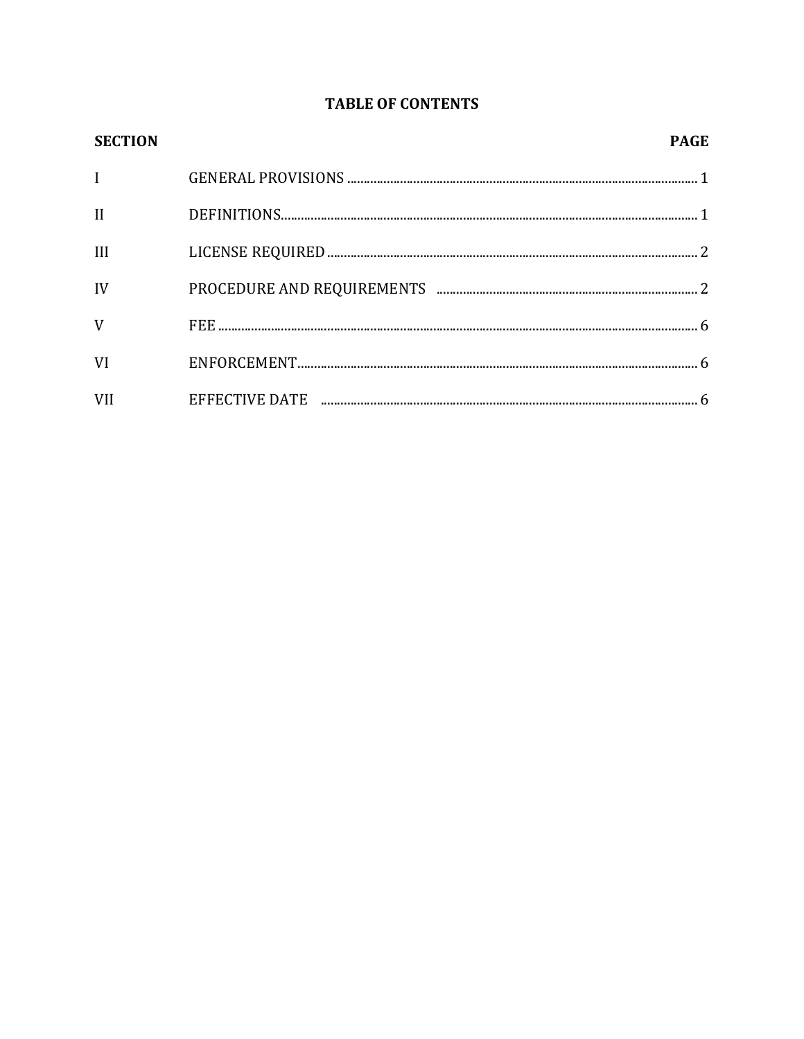# **TABLE OF CONTENTS**

| <b>SECTION</b> | <b>PAGE</b> |
|----------------|-------------|
| $\mathbf{I}$   |             |
| $\mathbf{I}$   |             |
| III            |             |
| IV             |             |
| V              |             |
| VI             |             |
| <b>VII</b>     |             |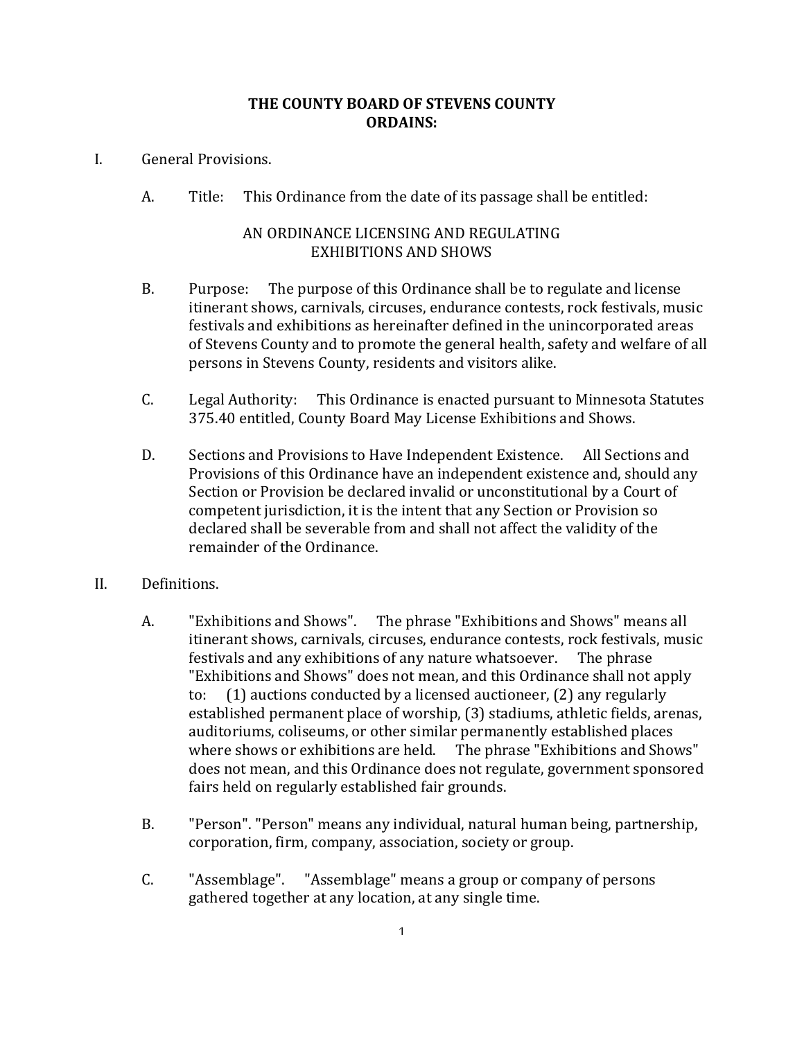#### **THE COUNTY BOARD OF STEVENS COUNTY ORDAINS:**

- I. General Provisions.
	- A. Title: This Ordinance from the date of its passage shall be entitled:

#### AN ORDINANCE LICENSING AND REGULATING EXHIBITIONS AND SHOWS

- B. Purpose: The purpose of this Ordinance shall be to regulate and license itinerant shows, carnivals, circuses, endurance contests, rock festivals, music festivals and exhibitions as hereinafter defined in the unincorporated areas of Stevens County and to promote the general health, safety and welfare of all persons in Stevens County, residents and visitors alike.
- C. Legal Authority: This Ordinance is enacted pursuant to Minnesota Statutes 375.40 entitled, County Board May License Exhibitions and Shows.
- D. Sections and Provisions to Have Independent Existence. All Sections and Provisions of this Ordinance have an independent existence and, should any Section or Provision be declared invalid or unconstitutional by a Court of competent jurisdiction, it is the intent that any Section or Provision so declared shall be severable from and shall not affect the validity of the remainder of the Ordinance.
- II. Definitions.
	- A. "Exhibitions and Shows". The phrase "Exhibitions and Shows" means all itinerant shows, carnivals, circuses, endurance contests, rock festivals, music festivals and any exhibitions of any nature whatsoever. The phrase "Exhibitions and Shows" does not mean, and this Ordinance shall not apply to: (1) auctions conducted by a licensed auctioneer, (2) any regularly established permanent place of worship, (3) stadiums, athletic fields, arenas, auditoriums, coliseums, or other similar permanently established places where shows or exhibitions are held. The phrase "Exhibitions and Shows" does not mean, and this Ordinance does not regulate, government sponsored fairs held on regularly established fair grounds.
	- B. "Person". "Person" means any individual, natural human being, partnership, corporation, firm, company, association, society or group.
	- C. "Assemblage". "Assemblage" means a group or company of persons gathered together at any location, at any single time.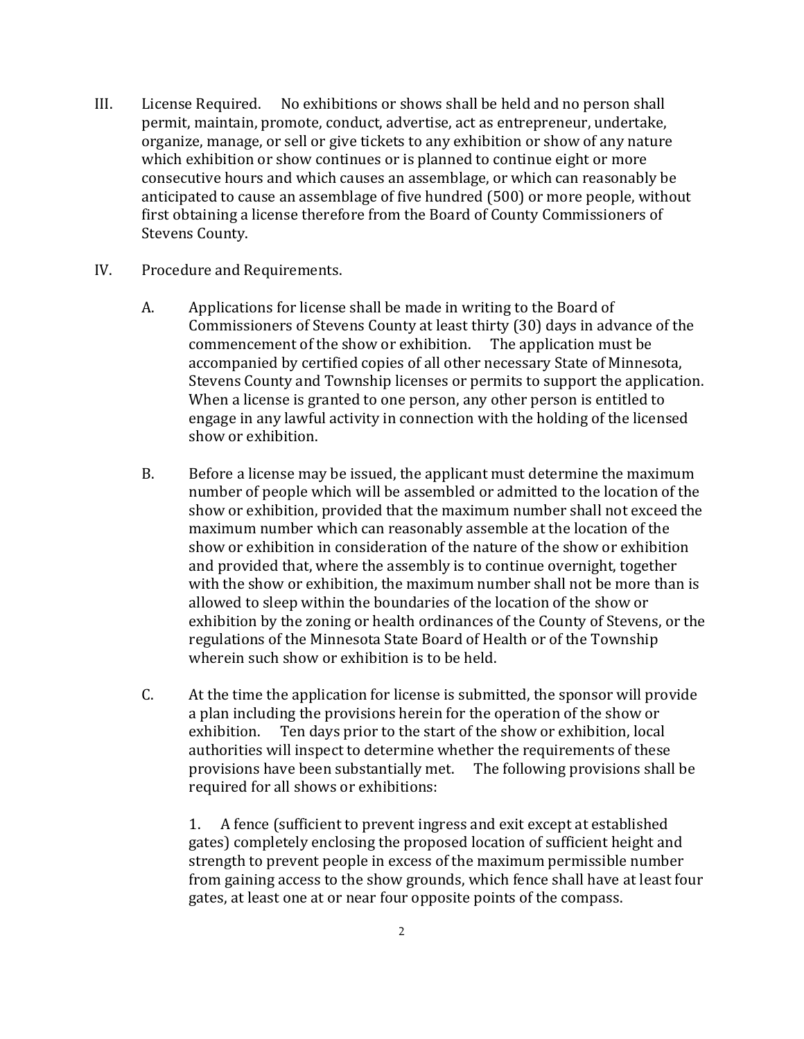- III. License Required. No exhibitions or shows shall be held and no person shall permit, maintain, promote, conduct, advertise, act as entrepreneur, undertake, organize, manage, or sell or give tickets to any exhibition or show of any nature which exhibition or show continues or is planned to continue eight or more consecutive hours and which causes an assemblage, or which can reasonably be anticipated to cause an assemblage of five hundred (500) or more people, without first obtaining a license therefore from the Board of County Commissioners of Stevens County.
- IV. Procedure and Requirements.
	- A. Applications for license shall be made in writing to the Board of Commissioners of Stevens County at least thirty (30) days in advance of the commencement of the show or exhibition. The application must be accompanied by certified copies of all other necessary State of Minnesota, Stevens County and Township licenses or permits to support the application. When a license is granted to one person, any other person is entitled to engage in any lawful activity in connection with the holding of the licensed show or exhibition.
	- B. Before a license may be issued, the applicant must determine the maximum number of people which will be assembled or admitted to the location of the show or exhibition, provided that the maximum number shall not exceed the maximum number which can reasonably assemble at the location of the show or exhibition in consideration of the nature of the show or exhibition and provided that, where the assembly is to continue overnight, together with the show or exhibition, the maximum number shall not be more than is allowed to sleep within the boundaries of the location of the show or exhibition by the zoning or health ordinances of the County of Stevens, or the regulations of the Minnesota State Board of Health or of the Township wherein such show or exhibition is to be held.
	- C. At the time the application for license is submitted, the sponsor will provide a plan including the provisions herein for the operation of the show or exhibition. Ten days prior to the start of the show or exhibition, local authorities will inspect to determine whether the requirements of these provisions have been substantially met. The following provisions shall be required for all shows or exhibitions:

1. A fence (sufficient to prevent ingress and exit except at established gates) completely enclosing the proposed location of sufficient height and strength to prevent people in excess of the maximum permissible number from gaining access to the show grounds, which fence shall have at least four gates, at least one at or near four opposite points of the compass.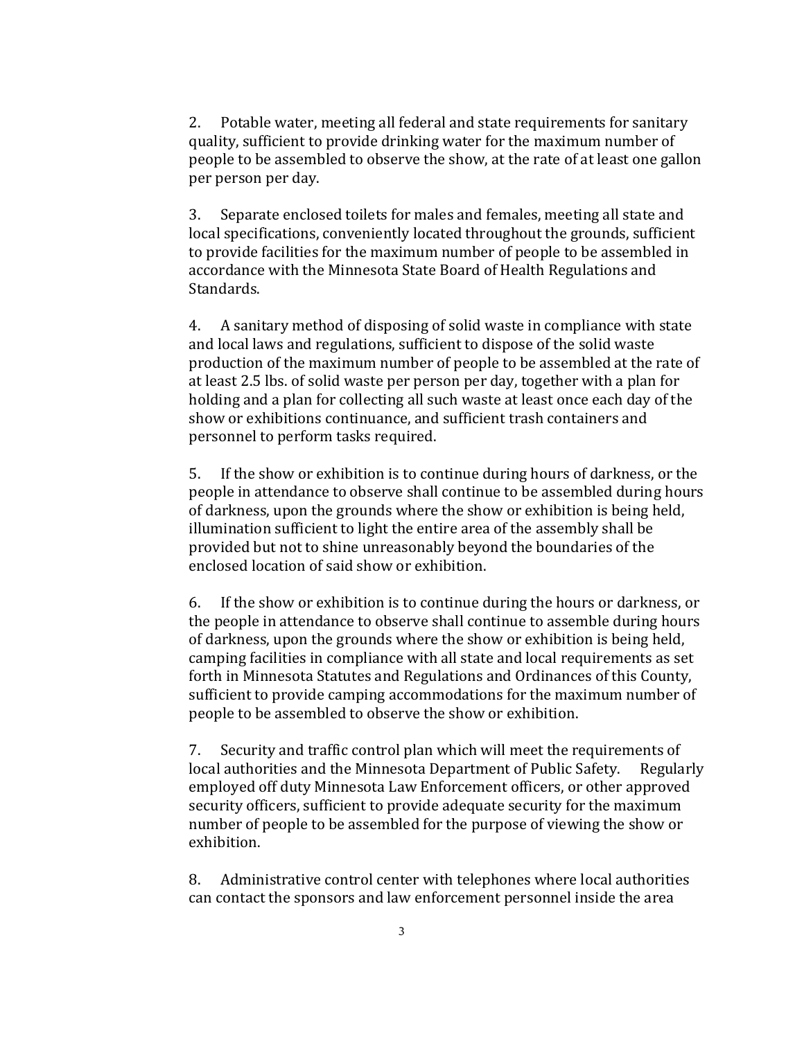2. Potable water, meeting all federal and state requirements for sanitary quality, sufficient to provide drinking water for the maximum number of people to be assembled to observe the show, at the rate of at least one gallon per person per day.

3. Separate enclosed toilets for males and females, meeting all state and local specifications, conveniently located throughout the grounds, sufficient to provide facilities for the maximum number of people to be assembled in accordance with the Minnesota State Board of Health Regulations and Standards.

4. A sanitary method of disposing of solid waste in compliance with state and local laws and regulations, sufficient to dispose of the solid waste production of the maximum number of people to be assembled at the rate of at least 2.5 lbs. of solid waste per person per day, together with a plan for holding and a plan for collecting all such waste at least once each day of the show or exhibitions continuance, and sufficient trash containers and personnel to perform tasks required.

5. If the show or exhibition is to continue during hours of darkness, or the people in attendance to observe shall continue to be assembled during hours of darkness, upon the grounds where the show or exhibition is being held, illumination sufficient to light the entire area of the assembly shall be provided but not to shine unreasonably beyond the boundaries of the enclosed location of said show or exhibition.

6. If the show or exhibition is to continue during the hours or darkness, or the people in attendance to observe shall continue to assemble during hours of darkness, upon the grounds where the show or exhibition is being held, camping facilities in compliance with all state and local requirements as set forth in Minnesota Statutes and Regulations and Ordinances of this County, sufficient to provide camping accommodations for the maximum number of people to be assembled to observe the show or exhibition.

7. Security and traffic control plan which will meet the requirements of local authorities and the Minnesota Department of Public Safety. Regularly employed off duty Minnesota Law Enforcement officers, or other approved security officers, sufficient to provide adequate security for the maximum number of people to be assembled for the purpose of viewing the show or exhibition.

8. Administrative control center with telephones where local authorities can contact the sponsors and law enforcement personnel inside the area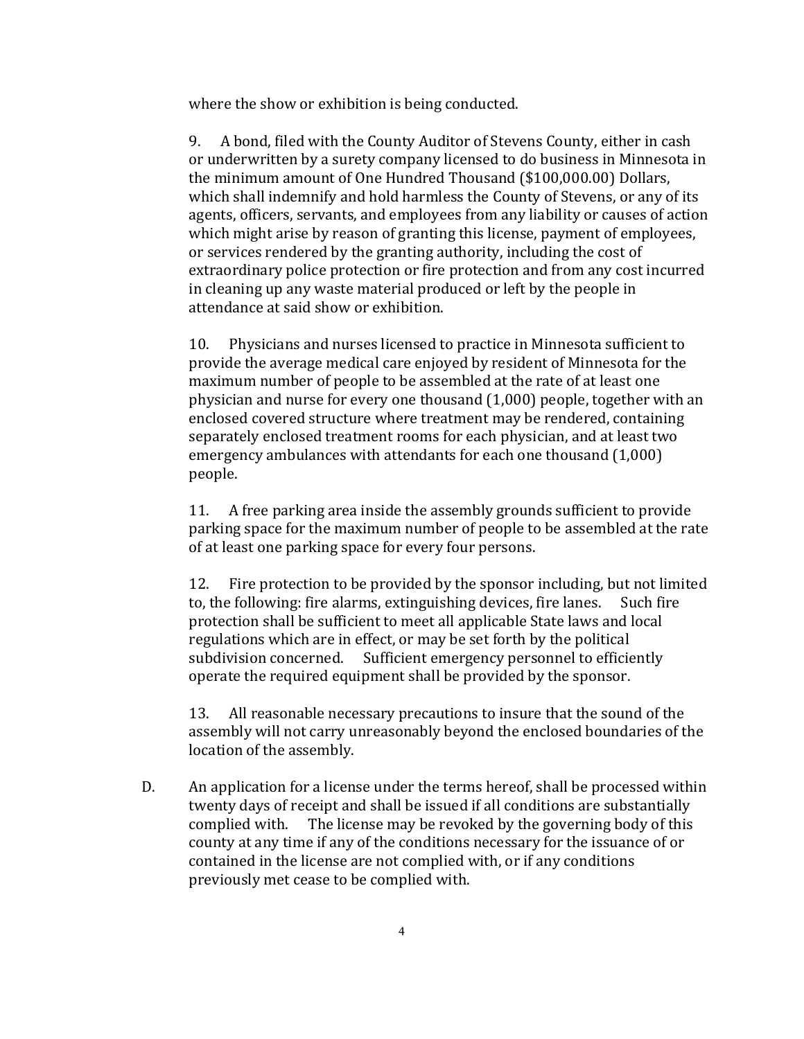where the show or exhibition is being conducted.

9. A bond, filed with the County Auditor of Stevens County, either in cash or underwritten by a surety company licensed to do business in Minnesota in the minimum amount of One Hundred Thousand (\$100,000.00) Dollars, which shall indemnify and hold harmless the County of Stevens, or any of its agents, officers, servants, and employees from any liability or causes of action which might arise by reason of granting this license, payment of employees, or services rendered by the granting authority, including the cost of extraordinary police protection or fire protection and from any cost incurred in cleaning up any waste material produced or left by the people in attendance at said show or exhibition.

10. Physicians and nurses licensed to practice in Minnesota sufficient to provide the average medical care enjoyed by resident of Minnesota for the maximum number of people to be assembled at the rate of at least one physician and nurse for every one thousand (1,000) people, together with an enclosed covered structure where treatment may be rendered, containing separately enclosed treatment rooms for each physician, and at least two emergency ambulances with attendants for each one thousand (1,000) people.

11. A free parking area inside the assembly grounds sufficient to provide parking space for the maximum number of people to be assembled at the rate of at least one parking space for every four persons.

12. Fire protection to be provided by the sponsor including, but not limited to, the following: fire alarms, extinguishing devices, fire lanes. Such fire protection shall be sufficient to meet all applicable State laws and local regulations which are in effect, or may be set forth by the political subdivision concerned. Sufficient emergency personnel to efficiently operate the required equipment shall be provided by the sponsor.

13. All reasonable necessary precautions to insure that the sound of the assembly will not carry unreasonably beyond the enclosed boundaries of the location of the assembly.

D. An application for a license under the terms hereof, shall be processed within twenty days of receipt and shall be issued if all conditions are substantially complied with. The license may be revoked by the governing body of this county at any time if any of the conditions necessary for the issuance of or contained in the license are not complied with, or if any conditions previously met cease to be complied with.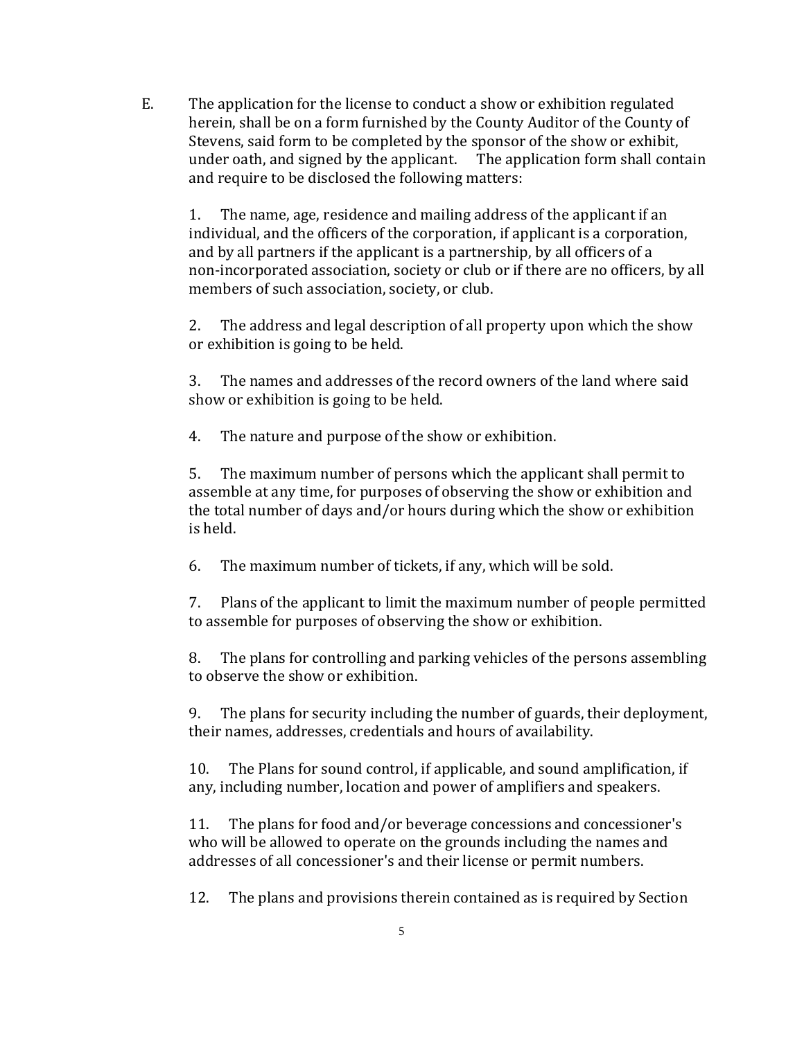E. The application for the license to conduct a show or exhibition regulated herein, shall be on a form furnished by the County Auditor of the County of Stevens, said form to be completed by the sponsor of the show or exhibit, under oath, and signed by the applicant. The application form shall contain and require to be disclosed the following matters:

1. The name, age, residence and mailing address of the applicant if an individual, and the officers of the corporation, if applicant is a corporation, and by all partners if the applicant is a partnership, by all officers of a non-incorporated association, society or club or if there are no officers, by all members of such association, society, or club.

2. The address and legal description of all property upon which the show or exhibition is going to be held.

3. The names and addresses of the record owners of the land where said show or exhibition is going to be held.

4. The nature and purpose of the show or exhibition.

5. The maximum number of persons which the applicant shall permit to assemble at any time, for purposes of observing the show or exhibition and the total number of days and/or hours during which the show or exhibition is held.

6. The maximum number of tickets, if any, which will be sold.

7. Plans of the applicant to limit the maximum number of people permitted to assemble for purposes of observing the show or exhibition.

8. The plans for controlling and parking vehicles of the persons assembling to observe the show or exhibition.

9. The plans for security including the number of guards, their deployment, their names, addresses, credentials and hours of availability.

10. The Plans for sound control, if applicable, and sound amplification, if any, including number, location and power of amplifiers and speakers.

11. The plans for food and/or beverage concessions and concessioner's who will be allowed to operate on the grounds including the names and addresses of all concessioner's and their license or permit numbers.

12. The plans and provisions therein contained as is required by Section